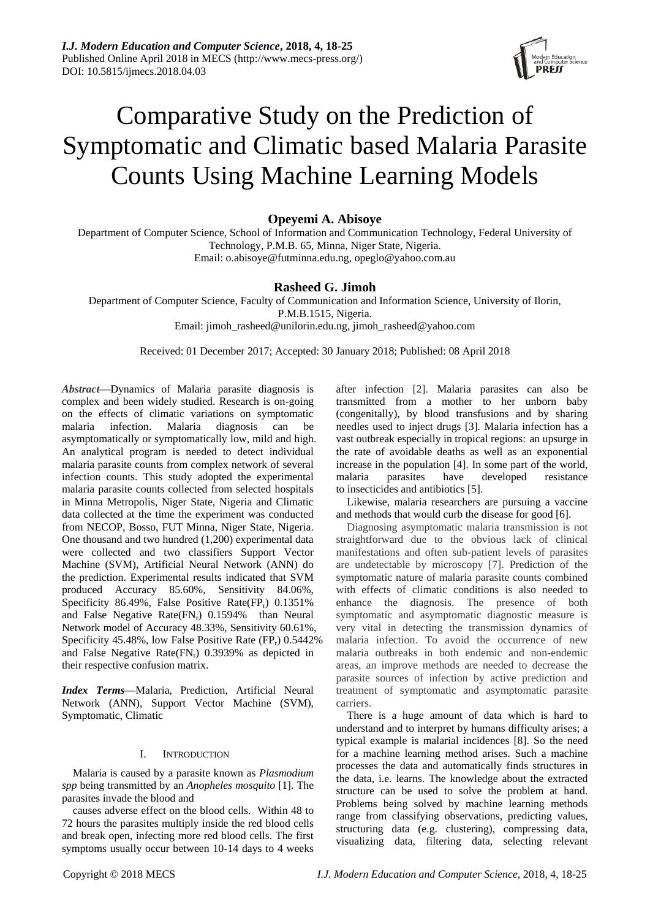

# Comparative Study on the Prediction of Symptomatic and Climatic based Malaria Parasite Counts Using Machine Learning Models

# **Opeyemi A. Abisoye**

Department of Computer Science, School of Information and Communication Technology, Federal University of Technology, P.M.B. 65, Minna, Niger State, Nigeria. Email: [o.abisoye@futminna.edu.ng,](mailto:o.abisoye@futminna.edu.ng) [opeglo@yahoo.com.au](mailto:opeglo@yahoo.com.au)

# **Rasheed G. Jimoh**

Department of Computer Science, Faculty of Communication and Information Science, University of Ilorin, P.M.B.1515, Nigeria. Email: [jimoh\\_rasheed@unilorin.edu.ng,](mailto:jimoh_rasheed@unilorin.edu.ng) [jimoh\\_rasheed@yahoo.com](mailto:jimoh_rasheed@yahoo.com)

Received: 01 December 2017; Accepted: 30 January 2018; Published: 08 April 2018

*Abstract—*Dynamics of Malaria parasite diagnosis is complex and been widely studied. Research is on-going on the effects of climatic variations on symptomatic malaria infection. Malaria diagnosis can be asymptomatically or symptomatically low, mild and high. An analytical program is needed to detect individual malaria parasite counts from complex network of several infection counts. This study adopted the experimental malaria parasite counts collected from selected hospitals in Minna Metropolis, Niger State, Nigeria and Climatic data collected at the time the experiment was conducted from NECOP, Bosso, FUT Minna, Niger State, Nigeria. One thousand and two hundred (1,200) experimental data were collected and two classifiers Support Vector Machine (SVM), Artificial Neural Network (ANN) do the prediction. Experimental results indicated that SVM produced Accuracy 85.60%, Sensitivity 84.06%, Specificity 86.49%, False Positive Rate(FP<sub>r</sub>)  $0.1351\%$ and False Negative Rate $(FN_r)$  0.1594% than Neural Network model of Accuracy 48.33%, Sensitivity 60.61%, Specificity  $45.48\%$ , low False Positive Rate (FP<sub>r</sub>)  $0.5442\%$ and False Negative Rate $(FN_r)$  0.3939% as depicted in their respective confusion matrix.

*Index Terms—*Malaria, Prediction, Artificial Neural Network (ANN), Support Vector Machine (SVM), Symptomatic, Climatic

## I. INTRODUCTION

Malaria is caused by a parasite known as *Plasmodium spp* being transmitted by an *Anopheles mosquito* [1]. The parasites invade the blood and

causes adverse effect on the blood cells. Within 48 to 72 hours the parasites multiply inside the red blood cells and break open, infecting more red blood cells. The first symptoms usually occur between 10-14 days to 4 weeks

after infection [2]. Malaria parasites can also be transmitted from a mother to her unborn baby (congenitally), by blood transfusions and by sharing needles used to inject drugs [3]. Malaria infection has a vast outbreak especially in tropical regions: an upsurge in the rate of avoidable deaths as well as an exponential increase in the population [4]. In some part of the world, malaria parasites have developed resistance to insecticides and antibiotics [5].

Likewise, malaria researchers are pursuing a vaccine and methods that would curb the disease for good [6].

Diagnosing asymptomatic malaria transmission is not straightforward due to the obvious lack of clinical manifestations and often sub-patient levels of parasites are undetectable by microscopy [7]. Prediction of the symptomatic nature of malaria parasite counts combined with effects of climatic conditions is also needed to enhance the diagnosis. The presence of both symptomatic and asymptomatic diagnostic measure is very vital in detecting the transmission dynamics of malaria infection. To avoid the occurrence of new malaria outbreaks in both endemic and non-endemic areas, an improve methods are needed to decrease the parasite sources of infection by active prediction and treatment of symptomatic and asymptomatic parasite carriers.

There is a huge amount of data which is hard to understand and to interpret by humans difficulty arises; a typical example is malarial incidences [8]. So the need for a machine learning method arises. Such a machine processes the data and automatically finds structures in the data, i.e. learns. The knowledge about the extracted structure can be used to solve the problem at hand. Problems being solved by machine learning methods range from classifying observations, predicting values, structuring data (e.g. clustering), compressing data, visualizing data, filtering data, selecting relevant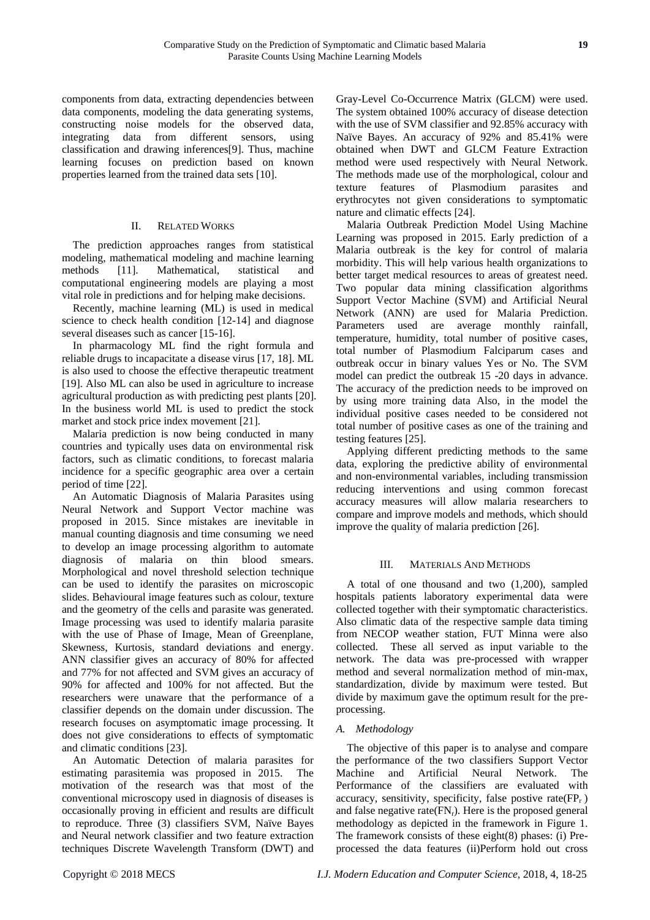components from data, extracting dependencies between data components, modeling the data generating systems, constructing noise models for the observed data, integrating data from different sensors, using classification and drawing inferences[9]. Thus, machine learning focuses on prediction based on known properties learned from the trained data sets [10].

# II. RELATED WORKS

The prediction approaches ranges from statistical modeling, mathematical modeling and machine learning methods [11]. Mathematical, statistical and computational engineering models are playing a most vital role in predictions and for helping make decisions.

Recently, machine learning (ML) is used in medical science to check health condition [12-14] and diagnose several diseases such as cancer [15-16].

In pharmacology ML find the right formula and reliable drugs to incapacitate a disease virus [17, 18]. ML is also used to choose the effective therapeutic treatment [19]. Also ML can also be used in agriculture to increase agricultural production as with predicting pest plants [20]. In the business world ML is used to predict the stock market and stock price index movement [21].

Malaria prediction is now being conducted in many countries and typically uses data on environmental risk factors, such as climatic conditions, to forecast malaria incidence for a specific geographic area over a certain period of time [22].

An Automatic Diagnosis of Malaria Parasites using Neural Network and Support Vector machine was proposed in 2015. Since mistakes are inevitable in manual counting diagnosis and time consuming we need to develop an image processing algorithm to automate diagnosis of malaria on thin blood smears. Morphological and novel threshold selection technique can be used to identify the parasites on microscopic slides. Behavioural image features such as colour, texture and the geometry of the cells and parasite was generated. Image processing was used to identify malaria parasite with the use of Phase of Image, Mean of Greenplane, Skewness, Kurtosis, standard deviations and energy. ANN classifier gives an accuracy of 80% for affected and 77% for not affected and SVM gives an accuracy of 90% for affected and 100% for not affected. But the researchers were unaware that the performance of a classifier depends on the domain under discussion. The research focuses on asymptomatic image processing. It does not give considerations to effects of symptomatic and climatic conditions [23].

An Automatic Detection of malaria parasites for estimating parasitemia was proposed in 2015. The motivation of the research was that most of the conventional microscopy used in diagnosis of diseases is occasionally proving in efficient and results are difficult to reproduce. Three (3) classifiers SVM, Na  $\ddot{v}$  Bayes and Neural network classifier and two feature extraction techniques Discrete Wavelength Transform (DWT) and Gray-Level Co-Occurrence Matrix (GLCM) were used. The system obtained 100% accuracy of disease detection with the use of SVM classifier and 92.85% accuracy with Naïve Bayes. An accuracy of 92% and 85.41% were obtained when DWT and GLCM Feature Extraction method were used respectively with Neural Network. The methods made use of the morphological, colour and texture features of Plasmodium parasites and erythrocytes not given considerations to symptomatic nature and climatic effects [24].

Malaria Outbreak Prediction Model Using Machine Learning was proposed in 2015. Early prediction of a Malaria outbreak is the key for control of malaria morbidity. This will help various health organizations to better target medical resources to areas of greatest need. Two popular data mining classification algorithms Support Vector Machine (SVM) and Artificial Neural Network (ANN) are used for Malaria Prediction. Parameters used are average monthly rainfall, temperature, humidity, total number of positive cases, total number of Plasmodium Falciparum cases and outbreak occur in binary values Yes or No. The SVM model can predict the outbreak 15 -20 days in advance. The accuracy of the prediction needs to be improved on by using more training data Also, in the model the individual positive cases needed to be considered not total number of positive cases as one of the training and testing features [25].

Applying different predicting methods to the same data, exploring the predictive ability of environmental and non-environmental variables, including transmission reducing interventions and using common forecast accuracy measures will allow malaria researchers to compare and improve models and methods, which should improve the quality of malaria prediction [26].

# III. MATERIALS AND METHODS

A total of one thousand and two (1,200), sampled hospitals patients laboratory experimental data were collected together with their symptomatic characteristics. Also climatic data of the respective sample data timing from NECOP weather station, FUT Minna were also collected. These all served as input variable to the network. The data was pre-processed with wrapper method and several normalization method of min-max, standardization, divide by maximum were tested. But divide by maximum gave the optimum result for the preprocessing.

# *A. Methodology*

The objective of this paper is to analyse and compare the performance of the two classifiers Support Vector Machine and Artificial Neural Network. The Performance of the classifiers are evaluated with accuracy, sensitivity, specificity, false postive rate( $FP<sub>r</sub>$ ) and false negative rate $(FN_r)$ . Here is the proposed general methodology as depicted in the framework in Figure 1. The framework consists of these eight(8) phases: (i) Preprocessed the data features (ii)Perform hold out cross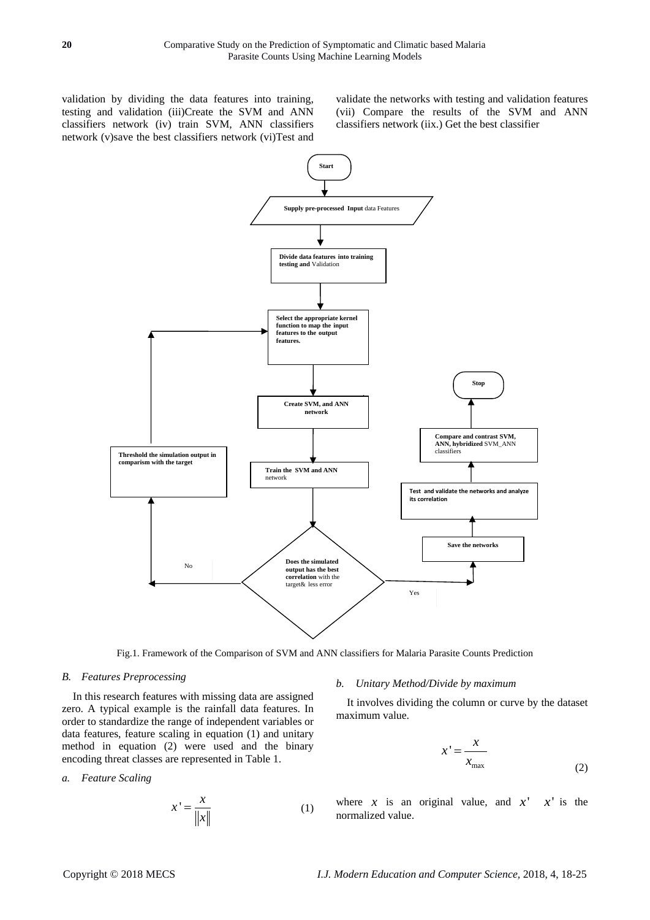validation by dividing the data features into training, testing and validation (iii)Create the SVM and ANN classifiers network (iv) train SVM, ANN classifiers network (v)save the best classifiers network (vi)Test and

validate the networks with testing and validation features (vii) Compare the results of the SVM and ANN classifiers network (iix.) Get the best classifier



Fig.1. Framework of the Comparison of SVM and ANN classifiers for Malaria Parasite Counts Prediction

## *B. Features Preprocessing*

In this research features with missing data are assigned zero. A typical example is the rainfall data features. In order to standardize the range of independent variables or data features, feature scaling in equation (1) and unitary method in equation (2) were used and the binary encoding threat classes are represented in Table 1.

#### *a. Feature Scaling*

$$
x' = \frac{x}{\|x\|} \tag{1}
$$

#### *b. Unitary Method/Divide by maximum*

It involves dividing the column or curve by the dataset maximum value.

$$
x' = \frac{x}{x_{\text{max}}}
$$
 (2)

where x is an original value, and  $x'$  x' is the normalized value.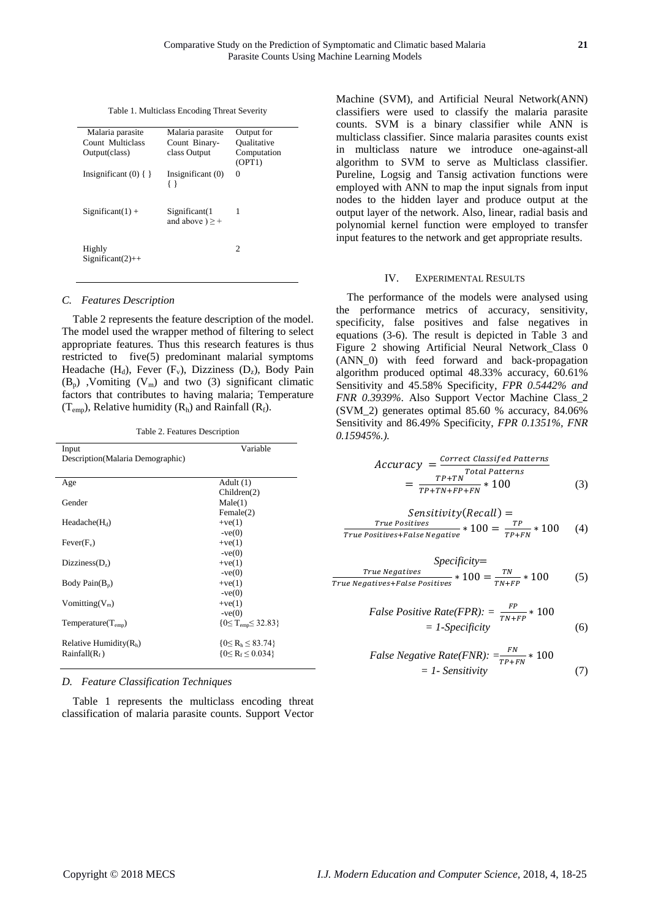Table 1. Multiclass Encoding Threat Severity

| Malaria parasite             | Malaria parasite                      | Output for            |
|------------------------------|---------------------------------------|-----------------------|
| Count Multiclass             | Count Binary-                         | Oualitative           |
| Output(class)                | class Output                          | Computation<br>(OPT1) |
| Insignificant $(0)$ { }      | Insignificant (0)<br>$\{ \}$          | 0                     |
| $Significant(1) +$           | Significant(1<br>and above $) \geq +$ | 1                     |
| Highly<br>$Significant(2)++$ |                                       | $\mathfrak{D}$        |

#### *C. Features Description*

Table 2 represents the feature description of the model. The model used the wrapper method of filtering to select appropriate features. Thus this research features is thus restricted to five(5) predominant malarial symptoms Headache (H<sub>d</sub>), Fever (F<sub>v</sub>), Dizziness (D<sub>z</sub>), Body Pain  $(B_n)$ , Vomiting  $(V_m)$  and two (3) significant climatic factors that contributes to having malaria; Temperature  $(T_{\text{emp}})$ , Relative humidity  $(R_h)$  and Rainfall  $(R_f)$ .

Table 2. Features Description

| Input                            | Variable                    |
|----------------------------------|-----------------------------|
| Description(Malaria Demographic) |                             |
|                                  |                             |
| Age                              | Adult $(1)$                 |
|                                  | Children(2)                 |
| Gender                           | Male(1)                     |
|                                  | Female(2)                   |
| $Headache(H_d)$                  | $+ve(1)$                    |
|                                  | $-ve(0)$                    |
| $Fever(F_v)$                     | $+ve(1)$                    |
|                                  | $-ve(0)$                    |
| Dizziness(D <sub>7</sub> )       | $+ve(1)$                    |
|                                  | $-ve(0)$                    |
| Body Pain $(B_n)$                | $+ve(1)$                    |
|                                  | $-ve(0)$                    |
| Vomitting( $V_m$ )               | $+ve(1)$                    |
|                                  | $-ve(0)$                    |
| $Temperature(T_{emp})$           | ${0 \le T_{emp} \le 32.83}$ |
| Relative Humidity $(Rh)$         | ${0 \le R_h \le 83.74}$     |
| Rainfall(R <sub>f</sub> )        | ${0 \le R_f \le 0.034}$     |
|                                  |                             |

*D. Feature Classification Techniques* 

Table 1 represents the multiclass encoding threat classification of malaria parasite counts. Support Vector Machine (SVM), and Artificial Neural Network(ANN) classifiers were used to classify the malaria parasite counts. SVM is a binary classifier while ANN is multiclass classifier. Since malaria parasites counts exist in multiclass nature we introduce one-against-all algorithm to SVM to serve as Multiclass classifier. Pureline, Logsig and Tansig activation functions were employed with ANN to map the input signals from input nodes to the hidden layer and produce output at the output layer of the network. Also, linear, radial basis and polynomial kernel function were employed to transfer input features to the network and get appropriate results.

#### IV. EXPERIMENTAL RESULTS

The performance of the models were analysed using the performance metrics of accuracy, sensitivity, specificity, false positives and false negatives in equations (3-6). The result is depicted in Table 3 and Figure 2 showing Artificial Neural Network\_Class 0 (ANN\_0) with feed forward and back-propagation algorithm produced optimal 48.33% accuracy, 60.61% Sensitivity and 45.58% Specificity, *FPR 0.5442% and FNR 0.3939%*. Also Support Vector Machine Class\_2 (SVM\_2) generates optimal 85.60 % accuracy, 84.06% Sensitivity and 86.49% Specificity, *FPR 0.1351%, FNR 0.15945%.).*

$$
Accuracy = \frac{Correct\;Classified\; Patterns}{TP + TN}^{Total\; Patterns}
$$

$$
= \frac{TP + TN}{TP + TN + FP + FN} * 100
$$
(3)

$$
Sensitivity(Recall) =\nTrue Positives\nTrue Positives + False Negative * 100 = \frac{TP}{TP+FN} * 100
$$
 (4)

*Specificity*=  
True Negatives \* 100 = 
$$
\frac{TN}{TN+FP}
$$
 \* 100 (5)

False Positive Rate(FPR): = 
$$
\frac{FP}{TN+FP} * 100
$$

$$
= 1 \cdot Specificity
$$
 (6)

False Negative Rate(FNR): 
$$
=\frac{FN}{TP+FN} * 100
$$
  
= 1- Sensitivity (7)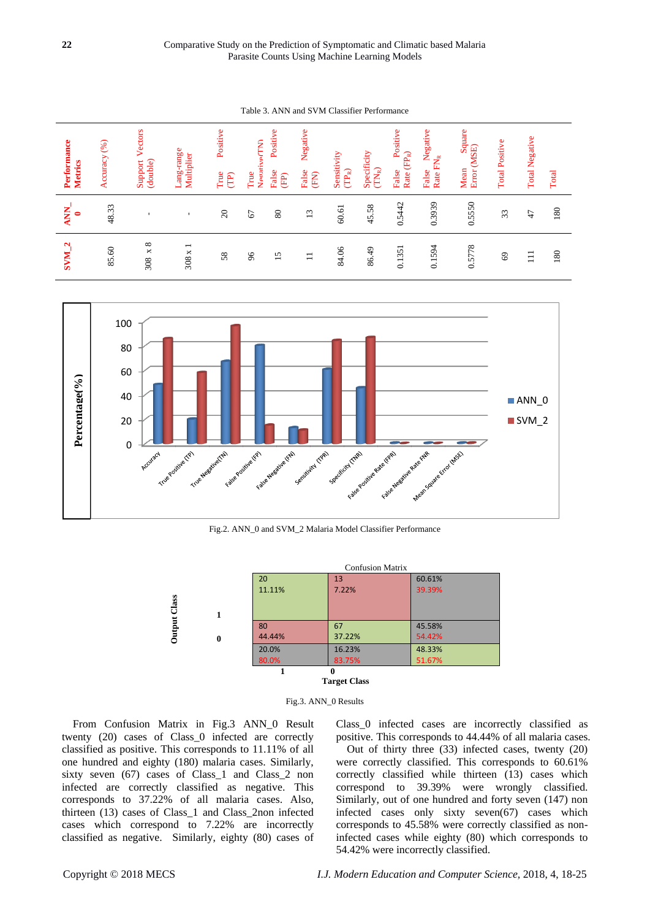Table 3. ANN and SVM Classifier Performance

| Performance<br><b>Metrics</b>   | Accuracy (%) | Vectors<br>(double)<br>Support | Lang-range<br>Multiplier          | Positive<br>True<br>$\widehat{E}$ | Neoative <sub>(TN)</sub><br>$\operatorname{True}$ | Positive<br>False<br>(E) | Negative<br>False<br>(FN) | Sensitivity<br>$(\mathcal{TP}_\mathbb{R})$ | Specificity<br>$\left(\text{TN}_\text{R}\right)$ | Positive<br>$\text{Rate}\left(\text{FP}_\text{R}\right)$<br>False | Negative<br>Rate FN <sub>R</sub><br>False | Square<br>Error (MSE)<br>Mean | <b>Total Positive</b> | <b>Total Negative</b> | Total |
|---------------------------------|--------------|--------------------------------|-----------------------------------|-----------------------------------|---------------------------------------------------|--------------------------|---------------------------|--------------------------------------------|--------------------------------------------------|-------------------------------------------------------------------|-------------------------------------------|-------------------------------|-----------------------|-----------------------|-------|
| <b>ANN</b><br>0                 | 48.33        |                                |                                   | $\Omega$                          | 67                                                | 80                       | 13                        | $60.61\,$                                  | 45.58                                            | 0.5442                                                            | 0.3939                                    | 0.5550                        | 33                    | 47                    | 180   |
| $\mathbf{\Omega}$<br><b>NMS</b> | 85.60        | $\times$ 8<br>308              | $\overline{\phantom{0}}$<br>308 x | 58                                | $\delta$                                          | 15                       | $\Box$                    | 84.06                                      | 86.49                                            | 0.1351                                                            | 0.1594                                    | 0.5778                        | 69                    | $\Xi$                 | 180   |



Fig.2. ANN\_0 and SVM\_2 Malaria Model Classifier Performance



Fig.3. ANN\_0 Results

From Confusion Matrix in Fig.3 ANN\_0 Result twenty (20) cases of Class\_0 infected are correctly classified as positive. This corresponds to 11.11% of all one hundred and eighty (180) malaria cases. Similarly, sixty seven (67) cases of Class\_1 and Class\_2 non infected are correctly classified as negative. This corresponds to 37.22% of all malaria cases. Also, thirteen (13) cases of Class\_1 and Class\_2non infected cases which correspond to 7.22% are incorrectly classified as negative. Similarly, eighty (80) cases of Class\_0 infected cases are incorrectly classified as positive. This corresponds to 44.44% of all malaria cases.

Out of thirty three (33) infected cases, twenty (20) were correctly classified. This corresponds to 60.61% correctly classified while thirteen (13) cases which correspond to 39.39% were wrongly classified. Similarly, out of one hundred and forty seven (147) non infected cases only sixty seven(67) cases which corresponds to 45.58% were correctly classified as noninfected cases while eighty (80) which corresponds to 54.42% were incorrectly classified.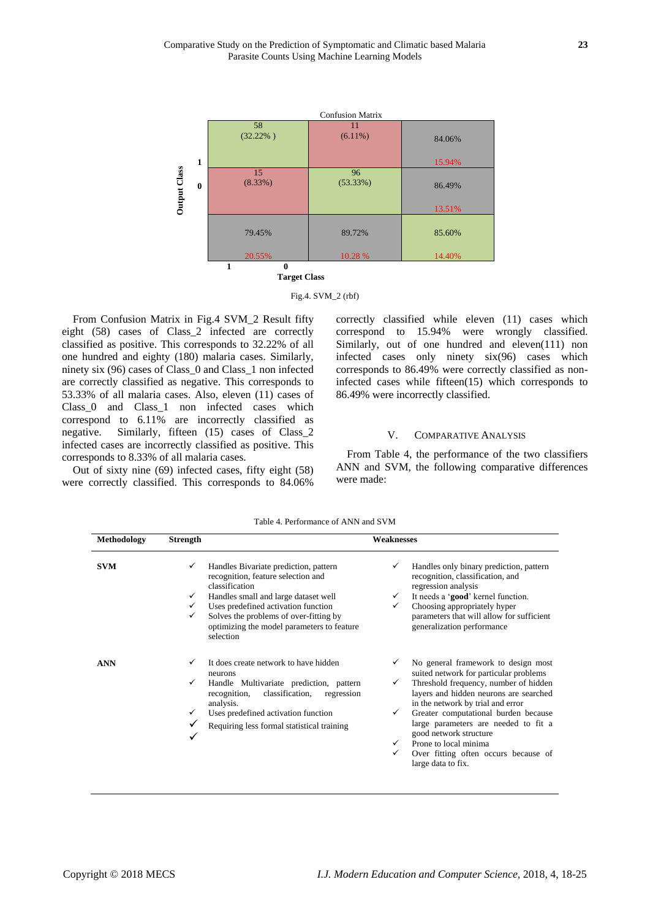

Fig.4. SVM\_2 (rbf)

From Confusion Matrix in Fig.4 SVM\_2 Result fifty eight (58) cases of Class\_2 infected are correctly classified as positive. This corresponds to 32.22% of all one hundred and eighty (180) malaria cases. Similarly, ninety six (96) cases of Class\_0 and Class\_1 non infected are correctly classified as negative. This corresponds to 53.33% of all malaria cases. Also, eleven (11) cases of Class 0 and Class 1 non infected cases which correspond to 6.11% are incorrectly classified as negative. Similarly, fifteen (15) cases of Class\_2 infected cases are incorrectly classified as positive. This corresponds to 8.33% of all malaria cases.

Out of sixty nine (69) infected cases, fifty eight (58) were correctly classified. This corresponds to 84.06% correctly classified while eleven (11) cases which correspond to 15.94% were wrongly classified. Similarly, out of one hundred and eleven(111) non infected cases only ninety six(96) cases which corresponds to 86.49% were correctly classified as noninfected cases while fifteen(15) which corresponds to 86.49% were incorrectly classified.

## V. COMPARATIVE ANALYSIS

From Table 4, the performance of the two classifiers ANN and SVM, the following comparative differences were made:

| Methodology | <b>Strength</b> | <b>Weaknesses</b>                                                                                                                                                                                                                                                                 |                                             |                                                                                                                                                                                                                                                                                                                                                                                                        |  |  |  |  |
|-------------|-----------------|-----------------------------------------------------------------------------------------------------------------------------------------------------------------------------------------------------------------------------------------------------------------------------------|---------------------------------------------|--------------------------------------------------------------------------------------------------------------------------------------------------------------------------------------------------------------------------------------------------------------------------------------------------------------------------------------------------------------------------------------------------------|--|--|--|--|
| <b>SVM</b>  | ✓<br>✓<br>✓     | Handles Bivariate prediction, pattern<br>recognition, feature selection and<br>classification<br>Handles small and large dataset well<br>Uses predefined activation function<br>Solves the problems of over-fitting by<br>optimizing the model parameters to feature<br>selection | ✓<br>$\checkmark$<br>✓                      | Handles only binary prediction, pattern<br>recognition, classification, and<br>regression analysis<br>It needs a 'good' kernel function.<br>Choosing appropriately hyper<br>parameters that will allow for sufficient<br>generalization performance                                                                                                                                                    |  |  |  |  |
| <b>ANN</b>  | ✓<br>✓<br>✓     | It does create network to have hidden<br>neurons<br>Handle Multivariate prediction, pattern<br>recognition,<br>classification,<br>regression<br>analysis.<br>Uses predefined activation function<br>Requiring less formal statistical training                                    | ✓<br>✓<br>$\checkmark$<br>$\checkmark$<br>✓ | No general framework to design most<br>suited network for particular problems<br>Threshold frequency, number of hidden<br>layers and hidden neurons are searched<br>in the network by trial and error<br>Greater computational burden because<br>large parameters are needed to fit a<br>good network structure<br>Prone to local minima<br>Over fitting often occurs because of<br>large data to fix. |  |  |  |  |

Table 4. Performance of ANN and SVM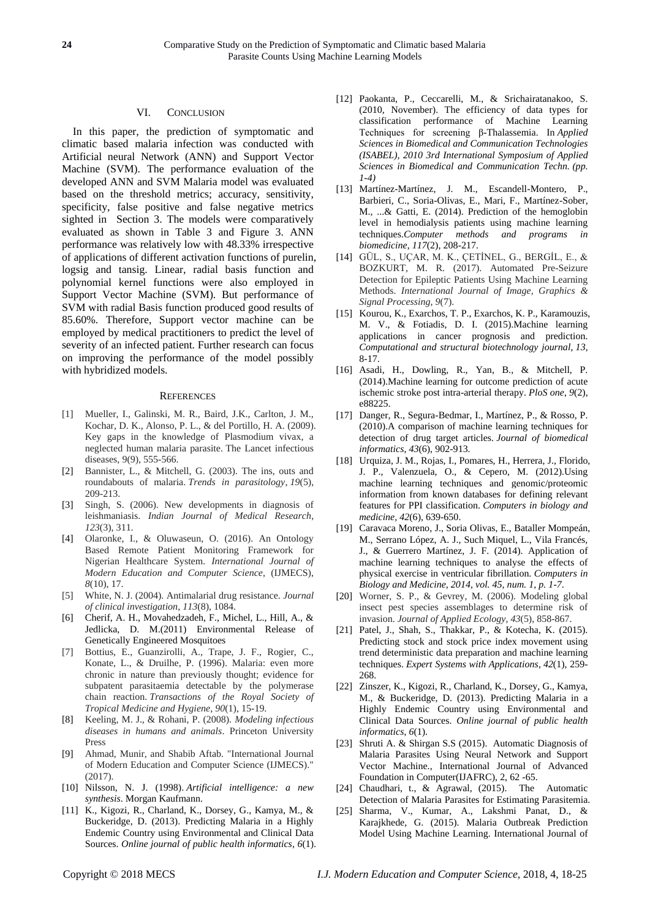## VI. CONCLUSION

In this paper, the prediction of symptomatic and climatic based malaria infection was conducted with Artificial neural Network (ANN) and Support Vector Machine (SVM). The performance evaluation of the developed ANN and SVM Malaria model was evaluated based on the threshold metrics; accuracy, sensitivity, specificity, false positive and false negative metrics sighted in Section 3. The models were comparatively evaluated as shown in Table 3 and Figure 3. ANN performance was relatively low with 48.33% irrespective of applications of different activation functions of purelin, logsig and tansig. Linear, radial basis function and polynomial kernel functions were also employed in Support Vector Machine (SVM). But performance of SVM with radial Basis function produced good results of 85.60%. Therefore, Support vector machine can be employed by medical practitioners to predict the level of severity of an infected patient. Further research can focus on improving the performance of the model possibly with hybridized models.

#### **REFERENCES**

- [1] Mueller, I., Galinski, M. R., Baird, J.K., Carlton, J. M., Kochar, D. K., Alonso, P. L., & del Portillo, H. A. (2009). Key gaps in the knowledge of Plasmodium vivax, a neglected human malaria parasite. The Lancet infectious diseases, 9(9), 555-566.
- [2] Bannister, L., & Mitchell, G. (2003). The ins, outs and roundabouts of malaria. *Trends in parasitology*, *19*(5), 209-213.
- [3] Singh, S. (2006). New developments in diagnosis of leishmaniasis. *Indian Journal of Medical Research*, *123*(3), 311.
- [4] Olaronke, I., & Oluwaseun, O. (2016). An Ontology Based Remote Patient Monitoring Framework for Nigerian Healthcare System. *International Journal of Modern Education and Computer Science*, (IJMECS), *8*(10), 17.
- [5] White, N. J. (2004). Antimalarial drug resistance. *Journal of clinical investigation*, *113*(8), 1084.
- [6] Cherif, A. H., Movahedzadeh, F., Michel, L., Hill, A., & Jedlicka, D. M.(2011) Environmental Release of Genetically Engineered Mosquitoes
- [7] Bottius, E., Guanzirolli, A., Trape, J. F., Rogier, C., Konate, L., & Druilhe, P. (1996). Malaria: even more chronic in nature than previously thought; evidence for subpatent parasitaemia detectable by the polymerase chain reaction. *Transactions of the Royal Society of Tropical Medicine and Hygiene*, *90*(1), 15-19.
- [8] Keeling, M. J., & Rohani, P. (2008). *Modeling infectious diseases in humans and animals*. Princeton University Press
- [9] Ahmad, Munir, and Shabib Aftab. "International Journal of Modern Education and Computer Science (IJMECS)." (2017).
- [10] Nilsson, N. J. (1998). *Artificial intelligence: a new synthesis*. Morgan Kaufmann.
- [11] K., Kigozi, R., Charland, K., Dorsey, G., Kamya, M., & Buckeridge, D. (2013). Predicting Malaria in a Highly Endemic Country using Environmental and Clinical Data Sources. *Online journal of public health informatics*, *6*(1).
- [12] Paokanta, P., Ceccarelli, M., & Srichairatanakoo, S. (2010, November). The efficiency of data types for classification performance of Machine Learning Techniques for screening β-Thalassemia. In *Applied Sciences in Biomedical and Communication Technologies (ISABEL), 2010 3rd International Symposium of Applied Sciences in Biomedical and Communication Techn. (pp. 1-4)*
- [13] Mart *fiez-Mart fiez*, J. M., Escandell-Montero, P., Barbieri, C., Soria-Olivas, E., Mari, F., Mart nez-Sober, M., ...& Gatti, E. (2014). Prediction of the hemoglobin level in hemodialysis patients using machine learning techniques.*Computer methods and programs in biomedicine*, *117*(2), 208-217.
- [14] GÜL, S., UÇAR, M. K., ÇETİNEL, G., BERGİL, E., & BOZKURT, M. R. (2017). Automated Pre-Seizure Detection for Epileptic Patients Using Machine Learning Methods. *International Journal of Image, Graphics & Signal Processing*, *9*(7).
- [15] Kourou, K., Exarchos, T. P., Exarchos, K. P., Karamouzis, M. V., & Fotiadis, D. I. (2015).Machine learning applications in cancer prognosis and prediction. *Computational and structural biotechnology journal*, *13*, 8-17.
- [16] Asadi, H., Dowling, R., Yan, B., & Mitchell, P. (2014).Machine learning for outcome prediction of acute ischemic stroke post intra-arterial therapy. *PloS one*, *9*(2), e88225.
- [17] Danger, R., Segura-Bedmar, I., Mart nez, P., & Rosso, P. (2010).A comparison of machine learning techniques for detection of drug target articles. *Journal of biomedical informatics*, *43*(6), 902-913.
- [18] Urquiza, J. M., Rojas, I., Pomares, H., Herrera, J., Florido, J. P., Valenzuela, O., & Cepero, M. (2012).Using machine learning techniques and genomic/proteomic information from known databases for defining relevant features for PPI classification. *Computers in biology and medicine*, *42*(6), 639-650.
- [19] Caravaca Moreno, J., Soria Olivas, E., Bataller Mompeán, M., Serrano López, A. J., Such Miquel, L., Vila Francés, J., & Guerrero Martínez, J. F. (2014). Application of machine learning techniques to analyse the effects of physical exercise in ventricular fibrillation. *Computers in Biology and Medicine, 2014, vol. 45, num. 1, p. 1-7*.
- [20] Worner, S. P., & Gevrey, M. (2006). Modeling global insect pest species assemblages to determine risk of invasion. *Journal of Applied Ecology*, *43*(5), 858-867.
- [21] Patel, J., Shah, S., Thakkar, P., & Kotecha, K. (2015). Predicting stock and stock price index movement using trend deterministic data preparation and machine learning techniques. *Expert Systems with Applications*, *42*(1), 259- 268.
- [22] Zinszer, K., Kigozi, R., Charland, K., Dorsey, G., Kamya, M., & Buckeridge, D. (2013). Predicting Malaria in a Highly Endemic Country using Environmental and Clinical Data Sources. *Online journal of public health informatics*, *6*(1).
- [23] Shruti A. & Shirgan S.S (2015). Automatic Diagnosis of Malaria Parasites Using Neural Network and Support Vector Machine., International Journal of Advanced Foundation in Computer(IJAFRC), 2, 62 -65.
- [24] Chaudhari, t., & Agrawal, (2015). The Automatic Detection of Malaria Parasites for Estimating Parasitemia.
- [25] Sharma, V., Kumar, A., Lakshmi Panat, D., & Karajkhede, G. (2015). Malaria Outbreak Prediction Model Using Machine Learning. International Journal of